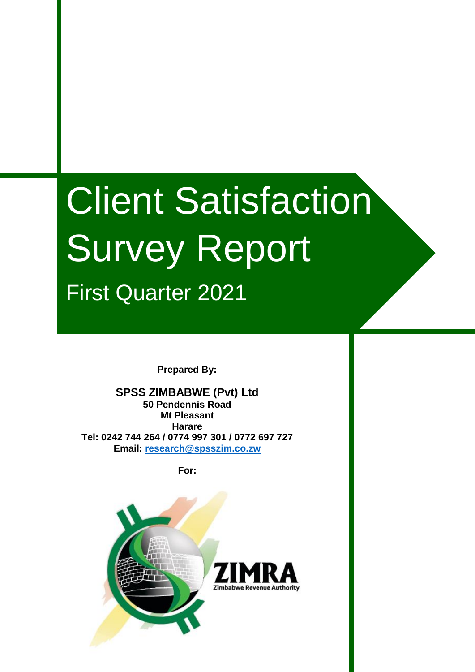# Client Satisfaction Survey Report First Quarter 2021

**Prepared By:**

**SPSS ZIMBABWE (Pvt) Ltd 50 Pendennis Road Mt Pleasant Harare Tel: 0242 744 264 / 0774 997 301 / 0772 697 727 Email: [research@spsszim.co.zw](mailto:research@spsszim.co.zw)**

**For:**

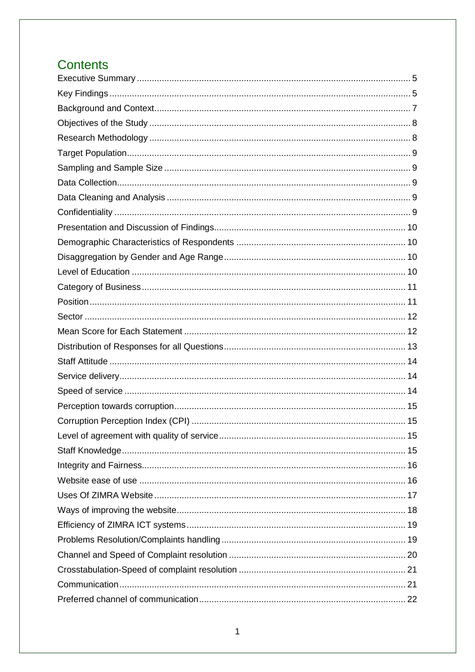# **Contents**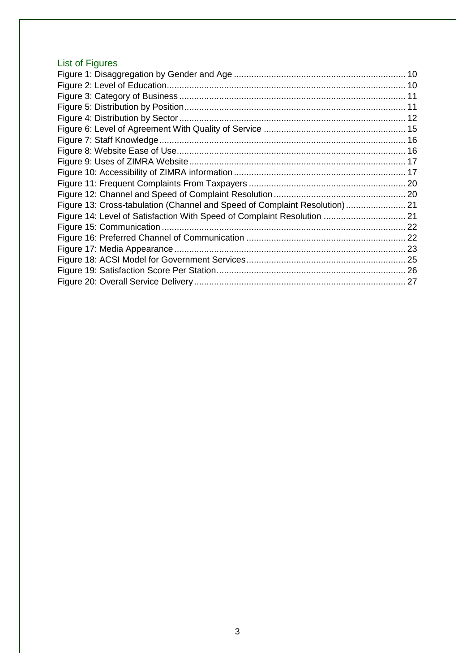# List of Figures

| Figure 13: Cross-tabulation (Channel and Speed of Complaint Resolution)  21 |  |
|-----------------------------------------------------------------------------|--|
| Figure 14: Level of Satisfaction With Speed of Complaint Resolution  21     |  |
|                                                                             |  |
|                                                                             |  |
|                                                                             |  |
|                                                                             |  |
|                                                                             |  |
|                                                                             |  |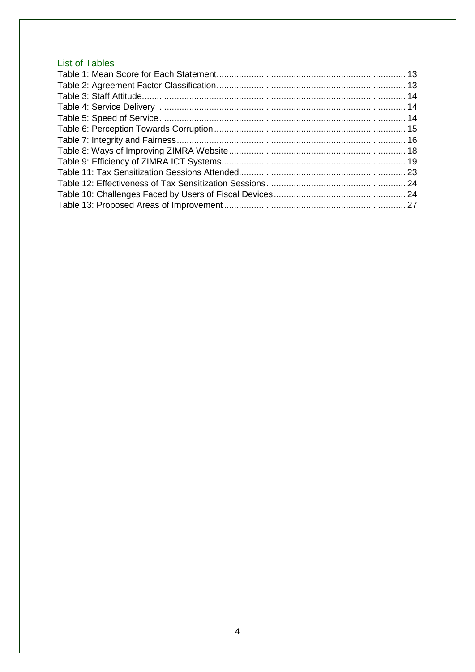# List of Tables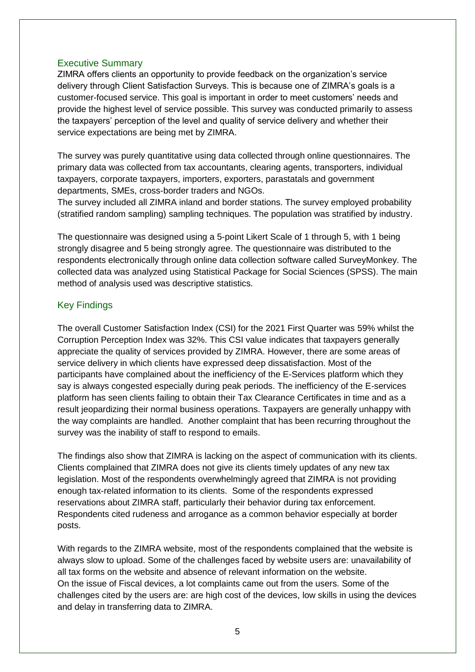#### <span id="page-5-0"></span>Executive Summary

ZIMRA offers clients an opportunity to provide feedback on the organization's service delivery through Client Satisfaction Surveys. This is because one of ZIMRA's goals is a customer-focused service. This goal is important in order to meet customers' needs and provide the highest level of service possible. This survey was conducted primarily to assess the taxpayers' perception of the level and quality of service delivery and whether their service expectations are being met by ZIMRA.

The survey was purely quantitative using data collected through online questionnaires. The primary data was collected from tax accountants, clearing agents, transporters, individual taxpayers, corporate taxpayers, importers, exporters, parastatals and government departments, SMEs, cross-border traders and NGOs.

The survey included all ZIMRA inland and border stations. The survey employed probability (stratified random sampling) sampling techniques. The population was stratified by industry.

The questionnaire was designed using a 5-point Likert Scale of 1 through 5, with 1 being strongly disagree and 5 being strongly agree. The questionnaire was distributed to the respondents electronically through online data collection software called SurveyMonkey. The collected data was analyzed using Statistical Package for Social Sciences (SPSS). The main method of analysis used was descriptive statistics.

#### <span id="page-5-1"></span>Key Findings

The overall Customer Satisfaction Index (CSI) for the 2021 First Quarter was 59% whilst the Corruption Perception Index was 32%. This CSI value indicates that taxpayers generally appreciate the quality of services provided by ZIMRA. However, there are some areas of service delivery in which clients have expressed deep dissatisfaction. Most of the participants have complained about the inefficiency of the E-Services platform which they say is always congested especially during peak periods. The inefficiency of the E-services platform has seen clients failing to obtain their Tax Clearance Certificates in time and as a result jeopardizing their normal business operations. Taxpayers are generally unhappy with the way complaints are handled. Another complaint that has been recurring throughout the survey was the inability of staff to respond to emails.

The findings also show that ZIMRA is lacking on the aspect of communication with its clients. Clients complained that ZIMRA does not give its clients timely updates of any new tax legislation. Most of the respondents overwhelmingly agreed that ZIMRA is not providing enough tax-related information to its clients. Some of the respondents expressed reservations about ZIMRA staff, particularly their behavior during tax enforcement. Respondents cited rudeness and arrogance as a common behavior especially at border posts.

With regards to the ZIMRA website, most of the respondents complained that the website is always slow to upload. Some of the challenges faced by website users are: unavailability of all tax forms on the website and absence of relevant information on the website. On the issue of Fiscal devices, a lot complaints came out from the users. Some of the challenges cited by the users are: are high cost of the devices, low skills in using the devices and delay in transferring data to ZIMRA.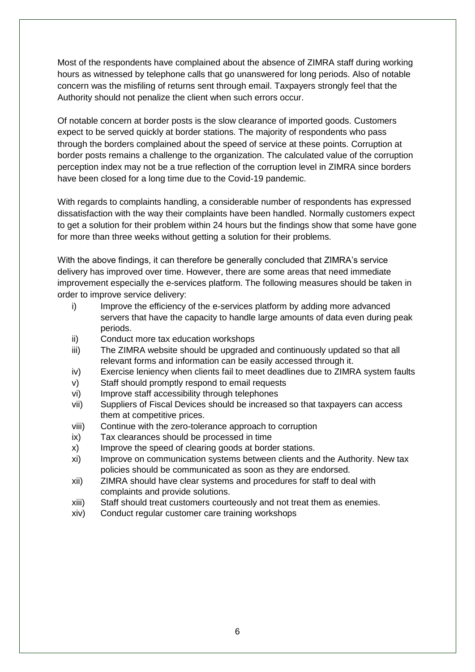Most of the respondents have complained about the absence of ZIMRA staff during working hours as witnessed by telephone calls that go unanswered for long periods. Also of notable concern was the misfiling of returns sent through email. Taxpayers strongly feel that the Authority should not penalize the client when such errors occur.

Of notable concern at border posts is the slow clearance of imported goods. Customers expect to be served quickly at border stations. The majority of respondents who pass through the borders complained about the speed of service at these points. Corruption at border posts remains a challenge to the organization. The calculated value of the corruption perception index may not be a true reflection of the corruption level in ZIMRA since borders have been closed for a long time due to the Covid-19 pandemic.

With regards to complaints handling, a considerable number of respondents has expressed dissatisfaction with the way their complaints have been handled. Normally customers expect to get a solution for their problem within 24 hours but the findings show that some have gone for more than three weeks without getting a solution for their problems.

With the above findings, it can therefore be generally concluded that ZIMRA's service delivery has improved over time. However, there are some areas that need immediate improvement especially the e-services platform. The following measures should be taken in order to improve service delivery:

- i) Improve the efficiency of the e-services platform by adding more advanced servers that have the capacity to handle large amounts of data even during peak periods.
- ii) Conduct more tax education workshops
- iii) The ZIMRA website should be upgraded and continuously updated so that all relevant forms and information can be easily accessed through it.
- iv) Exercise leniency when clients fail to meet deadlines due to ZIMRA system faults
- v) Staff should promptly respond to email requests
- vi) Improve staff accessibility through telephones
- vii) Suppliers of Fiscal Devices should be increased so that taxpayers can access them at competitive prices.
- viii) Continue with the zero-tolerance approach to corruption
- ix) Tax clearances should be processed in time
- x) Improve the speed of clearing goods at border stations.
- xi) Improve on communication systems between clients and the Authority. New tax policies should be communicated as soon as they are endorsed.
- xii) ZIMRA should have clear systems and procedures for staff to deal with complaints and provide solutions.
- xiii) Staff should treat customers courteously and not treat them as enemies.
- xiv) Conduct regular customer care training workshops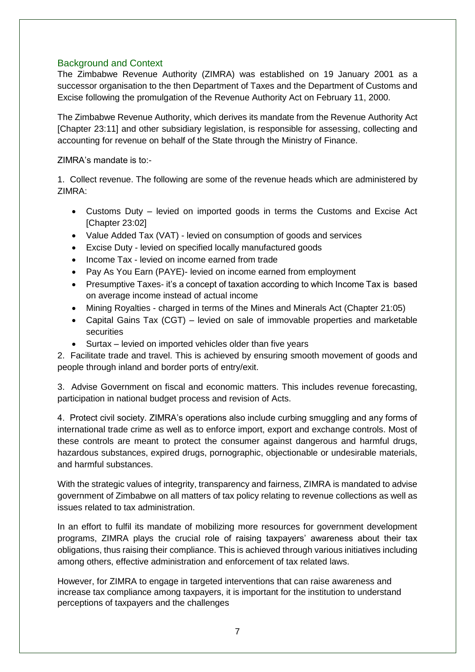# <span id="page-7-0"></span>Background and Context

The Zimbabwe Revenue Authority (ZIMRA) was established on 19 January 2001 as a successor organisation to the then Department of Taxes and the Department of Customs and Excise following the promulgation of the Revenue Authority Act on February 11, 2000.

The Zimbabwe Revenue Authority, which derives its mandate from the Revenue Authority Act [Chapter 23:11] and other subsidiary legislation, is responsible for assessing, collecting and accounting for revenue on behalf of the State through the Ministry of Finance.

ZIMRA's mandate is to:-

1. Collect revenue. The following are some of the revenue heads which are administered by ZIMRA:

- Customs Duty levied on imported goods in terms the Customs and Excise Act [Chapter 23:02]
- Value Added Tax (VAT) levied on consumption of goods and services
- Excise Duty levied on specified locally manufactured goods
- Income Tax levied on income earned from trade
- Pay As You Earn (PAYE)- levied on income earned from employment
- Presumptive Taxes- it's a concept of taxation according to which Income Tax is based on average income instead of actual income
- Mining Royalties charged in terms of the Mines and Minerals Act (Chapter 21:05)
- Capital Gains Tax (CGT) levied on sale of immovable properties and marketable securities
- Surtax levied on imported vehicles older than five years

2. Facilitate trade and travel. This is achieved by ensuring smooth movement of goods and people through inland and border ports of entry/exit.

3. Advise Government on fiscal and economic matters. This includes revenue forecasting, participation in national budget process and revision of Acts.

4. Protect civil society. ZIMRA's operations also include curbing smuggling and any forms of international trade crime as well as to enforce import, export and exchange controls. Most of these controls are meant to protect the consumer against dangerous and harmful drugs, hazardous substances, expired drugs, pornographic, objectionable or undesirable materials, and harmful substances.

With the strategic values of integrity, transparency and fairness, ZIMRA is mandated to advise government of Zimbabwe on all matters of tax policy relating to revenue collections as well as issues related to tax administration.

In an effort to fulfil its mandate of mobilizing more resources for government development programs, ZIMRA plays the crucial role of raising taxpayers' awareness about their tax obligations, thus raising their compliance. This is achieved through various initiatives including among others, effective administration and enforcement of tax related laws.

However, for ZIMRA to engage in targeted interventions that can raise awareness and increase tax compliance among taxpayers, it is important for the institution to understand perceptions of taxpayers and the challenges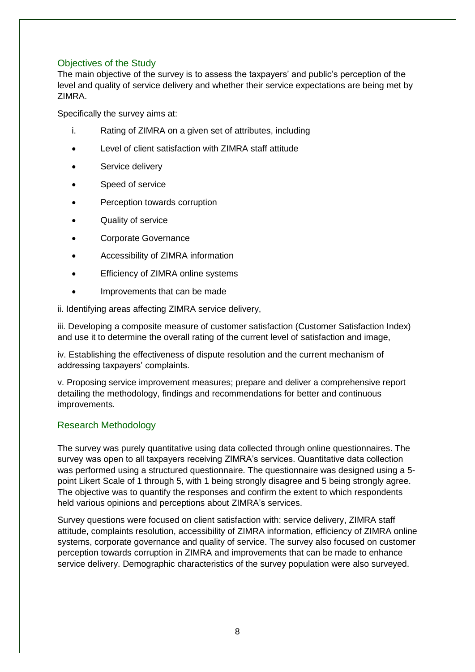# <span id="page-8-0"></span>Objectives of the Study

The main objective of the survey is to assess the taxpayers' and public's perception of the level and quality of service delivery and whether their service expectations are being met by ZIMRA.

Specifically the survey aims at:

- i. Rating of ZIMRA on a given set of attributes, including
- Level of client satisfaction with ZIMRA staff attitude
- **•** Service delivery
- Speed of service
- Perception towards corruption
- Quality of service
- Corporate Governance
- Accessibility of ZIMRA information
- Efficiency of ZIMRA online systems
- Improvements that can be made

ii. Identifying areas affecting ZIMRA service delivery,

iii. Developing a composite measure of customer satisfaction (Customer Satisfaction Index) and use it to determine the overall rating of the current level of satisfaction and image,

iv. Establishing the effectiveness of dispute resolution and the current mechanism of addressing taxpayers' complaints.

v. Proposing service improvement measures; prepare and deliver a comprehensive report detailing the methodology, findings and recommendations for better and continuous improvements.

#### <span id="page-8-1"></span>Research Methodology

The survey was purely quantitative using data collected through online questionnaires. The survey was open to all taxpayers receiving ZIMRA's services. Quantitative data collection was performed using a structured questionnaire. The questionnaire was designed using a 5 point Likert Scale of 1 through 5, with 1 being strongly disagree and 5 being strongly agree. The objective was to quantify the responses and confirm the extent to which respondents held various opinions and perceptions about ZIMRA's services.

Survey questions were focused on client satisfaction with: service delivery, ZIMRA staff attitude, complaints resolution, accessibility of ZIMRA information, efficiency of ZIMRA online systems, corporate governance and quality of service. The survey also focused on customer perception towards corruption in ZIMRA and improvements that can be made to enhance service delivery. Demographic characteristics of the survey population were also surveyed.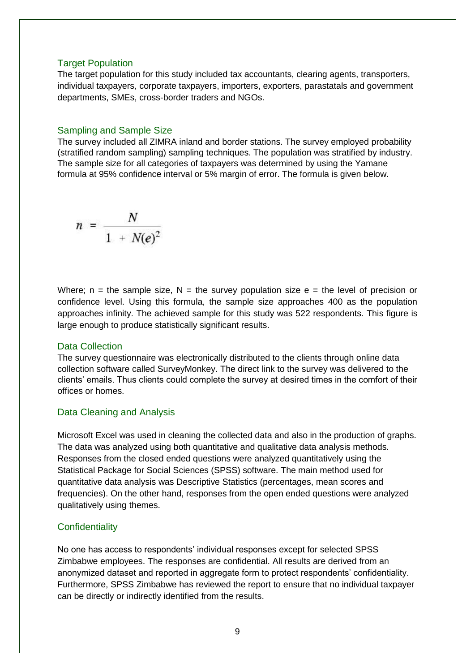#### <span id="page-9-0"></span>Target Population

The target population for this study included tax accountants, clearing agents, transporters, individual taxpayers, corporate taxpayers, importers, exporters, parastatals and government departments, SMEs, cross-border traders and NGOs.

#### <span id="page-9-1"></span>Sampling and Sample Size

The survey included all ZIMRA inland and border stations. The survey employed probability (stratified random sampling) sampling techniques. The population was stratified by industry. The sample size for all categories of taxpayers was determined by using the Yamane formula at 95% confidence interval or 5% margin of error. The formula is given below.

$$
n = \frac{N}{1 + N(e)^2}
$$

Where;  $n =$  the sample size,  $N =$  the survey population size  $e =$  the level of precision or confidence level. Using this formula, the sample size approaches 400 as the population approaches infinity. The achieved sample for this study was 522 respondents. This figure is large enough to produce statistically significant results.

#### <span id="page-9-2"></span>Data Collection

The survey questionnaire was electronically distributed to the clients through online data collection software called SurveyMonkey. The direct link to the survey was delivered to the clients' emails. Thus clients could complete the survey at desired times in the comfort of their offices or homes.

#### <span id="page-9-3"></span>Data Cleaning and Analysis

Microsoft Excel was used in cleaning the collected data and also in the production of graphs. The data was analyzed using both quantitative and qualitative data analysis methods. Responses from the closed ended questions were analyzed quantitatively using the Statistical Package for Social Sciences (SPSS) software. The main method used for quantitative data analysis was Descriptive Statistics (percentages, mean scores and frequencies). On the other hand, responses from the open ended questions were analyzed qualitatively using themes.

#### <span id="page-9-4"></span>**Confidentiality**

No one has access to respondents' individual responses except for selected SPSS Zimbabwe employees. The responses are confidential. All results are derived from an anonymized dataset and reported in aggregate form to protect respondents' confidentiality. Furthermore, SPSS Zimbabwe has reviewed the report to ensure that no individual taxpayer can be directly or indirectly identified from the results.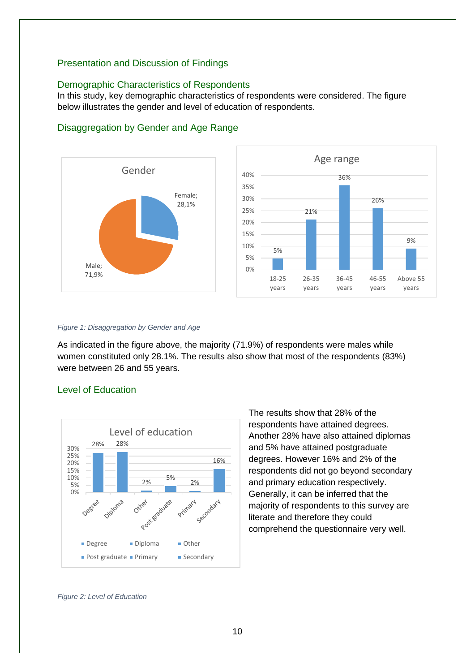#### <span id="page-10-1"></span><span id="page-10-0"></span>Presentation and Discussion of Findings

#### Demographic Characteristics of Respondents

In this study, key demographic characteristics of respondents were considered. The figure below illustrates the gender and level of education of respondents.





#### <span id="page-10-2"></span>Disaggregation by Gender and Age Range

#### <span id="page-10-4"></span>*Figure 1: Disaggregation by Gender and Age*

As indicated in the figure above, the majority (71.9%) of respondents were males while women constituted only 28.1%. The results also show that most of the respondents (83%) were between 26 and 55 years.

#### <span id="page-10-3"></span>Level of Education



The results show that 28% of the respondents have attained degrees. Another 28% have also attained diplomas and 5% have attained postgraduate degrees. However 16% and 2% of the respondents did not go beyond secondary and primary education respectively. Generally, it can be inferred that the majority of respondents to this survey are literate and therefore they could comprehend the questionnaire very well.

#### <span id="page-10-5"></span>*Figure 2: Level of Education*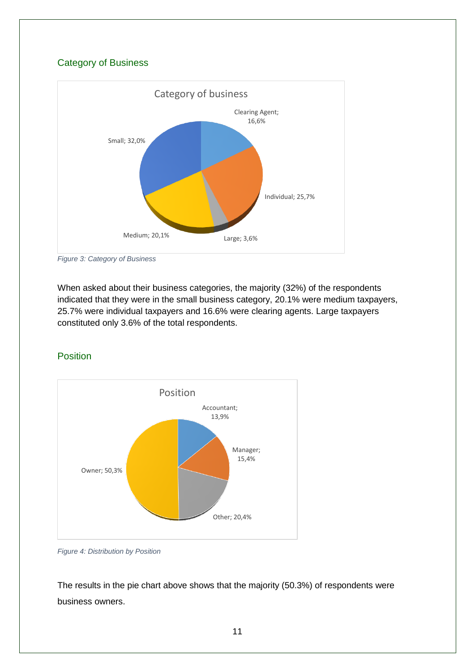# <span id="page-11-0"></span>Category of Business



<span id="page-11-2"></span>*Figure 3: Category of Business*

When asked about their business categories, the majority (32%) of the respondents indicated that they were in the small business category, 20.1% were medium taxpayers, 25.7% were individual taxpayers and 16.6% were clearing agents. Large taxpayers constituted only 3.6% of the total respondents.

#### <span id="page-11-1"></span>Position



<span id="page-11-3"></span>*Figure 4: Distribution by Position*

The results in the pie chart above shows that the majority (50.3%) of respondents were business owners.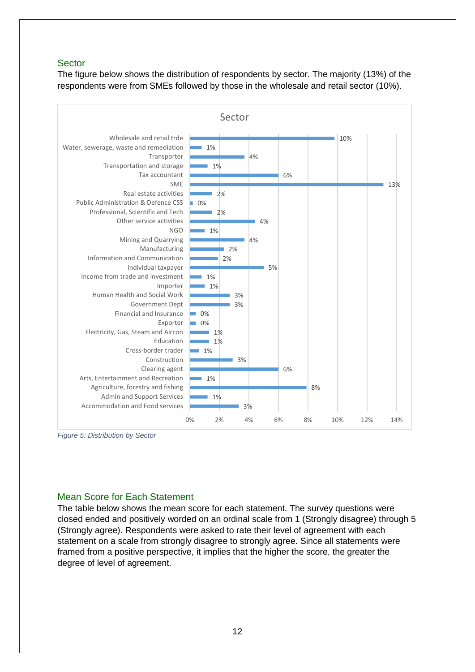#### <span id="page-12-0"></span>**Sector**

The figure below shows the distribution of respondents by sector. The majority (13%) of the respondents were from SMEs followed by those in the wholesale and retail sector (10%).



<span id="page-12-2"></span>*Figure 5: Distribution by Sector*

# <span id="page-12-1"></span>Mean Score for Each Statement

The table below shows the mean score for each statement. The survey questions were closed ended and positively worded on an ordinal scale from 1 (Strongly disagree) through 5 (Strongly agree). Respondents were asked to rate their level of agreement with each statement on a scale from strongly disagree to strongly agree. Since all statements were framed from a positive perspective, it implies that the higher the score, the greater the degree of level of agreement.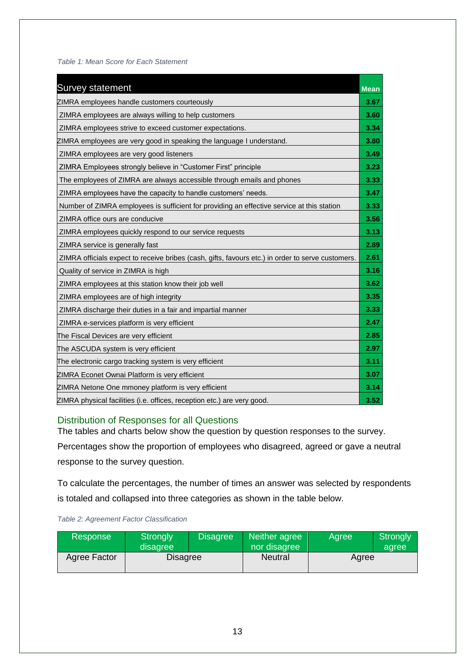#### <span id="page-13-1"></span>*Table 1: Mean Score for Each Statement*

| <b>Survey statement</b>                                                                           | <b>Mean</b> |
|---------------------------------------------------------------------------------------------------|-------------|
| ZIMRA employees handle customers courteously                                                      | 3.67        |
| ZIMRA employees are always willing to help customers                                              | 3.60        |
| ZIMRA employees strive to exceed customer expectations.                                           | 3.34        |
| ZIMRA employees are very good in speaking the language I understand.                              | 3.80        |
| ZIMRA employees are very good listeners                                                           | 3.49        |
| ZIMRA Employees strongly believe in "Customer First" principle                                    | 3.23        |
| The employees of ZIMRA are always accessible through emails and phones                            | 3.33        |
| ZIMRA employees have the capacity to handle customers' needs.                                     | 3.47        |
| Number of ZIMRA employees is sufficient for providing an effective service at this station        | 3.33        |
| ZIMRA office ours are conducive                                                                   | 3.56        |
| ZIMRA employees quickly respond to our service requests                                           | 3.13        |
| ZIMRA service is generally fast                                                                   | 2.89        |
| ZIMRA officials expect to receive bribes (cash, gifts, favours etc.) in order to serve customers. | 2.61        |
| Quality of service in ZIMRA is high                                                               | 3.16        |
| ZIMRA employees at this station know their job well                                               | 3.62        |
| ZIMRA employees are of high integrity                                                             | 3.35        |
| ZIMRA discharge their duties in a fair and impartial manner                                       | 3.33        |
| ZIMRA e-services platform is very efficient                                                       | 2.47        |
| The Fiscal Devices are very efficient                                                             | 2.85        |
| The ASCUDA system is very efficient                                                               | 2.97        |
| The electronic cargo tracking system is very efficient                                            | 3.11        |
| ZIMRA Econet Ownai Platform is very efficient                                                     | 3.07        |
| ZIMRA Netone One mmoney platform is very efficient                                                | 3.14        |
| ZIMRA physical facilities (i.e. offices, reception etc.) are very good.                           | 3.52        |

## <span id="page-13-0"></span>Distribution of Responses for all Questions

The tables and charts below show the question by question responses to the survey.

Percentages show the proportion of employees who disagreed, agreed or gave a neutral response to the survey question.

To calculate the percentages, the number of times an answer was selected by respondents is totaled and collapsed into three categories as shown in the table below.

#### <span id="page-13-2"></span>*Table 2: Agreement Factor Classification*

| Response     | <b>Strongly</b><br>disagree | <b>Disagree</b> | Neither agree<br>nor disagree | Agree | Strongly<br>agree |
|--------------|-----------------------------|-----------------|-------------------------------|-------|-------------------|
| Agree Factor | <b>Disagree</b>             |                 | <b>Neutral</b>                | Agree |                   |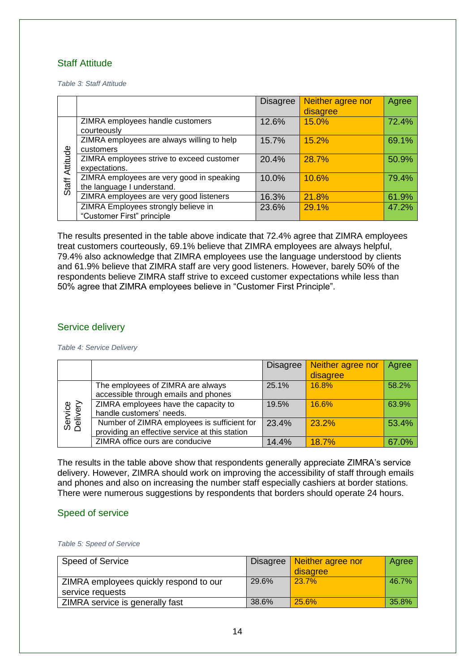#### <span id="page-14-0"></span>Staff Attitude

<span id="page-14-3"></span>*Table 3: Staff Attitude*

|          |                                                                         | <b>Disagree</b> | Neither agree nor<br>disagree | Agree |
|----------|-------------------------------------------------------------------------|-----------------|-------------------------------|-------|
|          | ZIMRA employees handle customers<br>courteously                         | 12.6%           | 15.0%                         | 72.4% |
|          | ZIMRA employees are always willing to help<br>customers                 | 15.7%           | 15.2%                         | 69.1% |
| Attitude | ZIMRA employees strive to exceed customer<br>expectations.              | 20.4%           | 28.7%                         | 50.9% |
| Staff.   | ZIMRA employees are very good in speaking<br>the language I understand. | 10.0%           | 10.6%                         | 79.4% |
|          | ZIMRA employees are very good listeners                                 | 16.3%           | 21.8%                         | 61.9% |
|          | ZIMRA Employees strongly believe in<br>"Customer First" principle       | 23.6%           | 29.1%                         | 47.2% |

The results presented in the table above indicate that 72.4% agree that ZIMRA employees treat customers courteously, 69.1% believe that ZIMRA employees are always helpful, 79.4% also acknowledge that ZIMRA employees use the language understood by clients and 61.9% believe that ZIMRA staff are very good listeners. However, barely 50% of the respondents believe ZIMRA staff strive to exceed customer expectations while less than 50% agree that ZIMRA employees believe in "Customer First Principle".

## <span id="page-14-1"></span>Service delivery

<span id="page-14-4"></span>*Table 4: Service Delivery*

|                     |                                                | <b>Disagree</b> | Neither agree nor | Agree |
|---------------------|------------------------------------------------|-----------------|-------------------|-------|
|                     |                                                |                 | disagree          |       |
|                     | The employees of ZIMRA are always              | 25.1%           | 16.8%             | 58.2% |
|                     | accessible through emails and phones           |                 |                   |       |
| Service<br>Delivery | ZIMRA employees have the capacity to           | 19.5%           | 16.6%             | 63.9% |
|                     | handle customers' needs.                       |                 |                   |       |
|                     | Number of ZIMRA employees is sufficient for    | 23.4%           | 23.2%             | 53.4% |
|                     | providing an effective service at this station |                 |                   |       |
|                     | ZIMRA office ours are conducive                | 14.4%           | 18.7%             | 67.0% |

The results in the table above show that respondents generally appreciate ZIMRA's service delivery. However, ZIMRA should work on improving the accessibility of staff through emails and phones and also on increasing the number staff especially cashiers at border stations. There were numerous suggestions by respondents that borders should operate 24 hours.

#### <span id="page-14-2"></span>Speed of service

<span id="page-14-5"></span>*Table 5: Speed of Service*

| <b>Speed of Service</b>                                    |       | Disagree   Neither agree nor<br>disagree | Agree |
|------------------------------------------------------------|-------|------------------------------------------|-------|
| ZIMRA employees quickly respond to our<br>service requests | 29.6% | $23.7\%$                                 | 46.7% |
| ZIMRA service is generally fast                            | 38.6% | $25.6\%$                                 | 35.8% |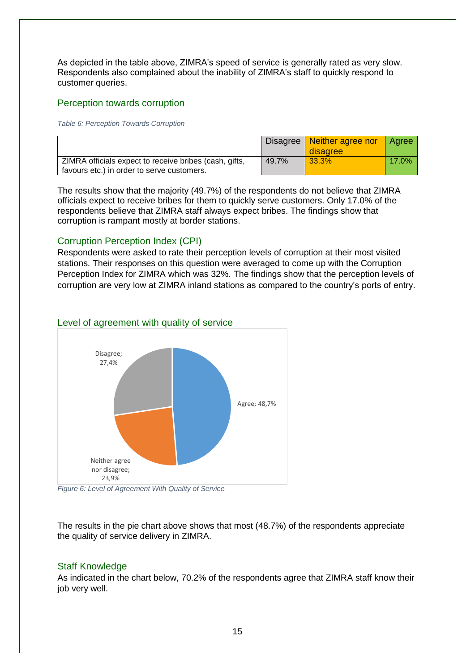As depicted in the table above, ZIMRA's speed of service is generally rated as very slow. Respondents also complained about the inability of ZIMRA's staff to quickly respond to customer queries.

#### <span id="page-15-0"></span>Perception towards corruption

<span id="page-15-5"></span>*Table 6: Perception Towards Corruption*

|                                                        |       | Disagree Neither agree nor<br>disagree | l Agree  |
|--------------------------------------------------------|-------|----------------------------------------|----------|
| ZIMRA officials expect to receive bribes (cash, gifts, | 49.7% | 33.3%                                  | $17.0\%$ |
| favours etc.) in order to serve customers.             |       |                                        |          |

The results show that the majority (49.7%) of the respondents do not believe that ZIMRA officials expect to receive bribes for them to quickly serve customers. Only 17.0% of the respondents believe that ZIMRA staff always expect bribes. The findings show that corruption is rampant mostly at border stations.

#### <span id="page-15-1"></span>Corruption Perception Index (CPI)

Respondents were asked to rate their perception levels of corruption at their most visited stations. Their responses on this question were averaged to come up with the Corruption Perception Index for ZIMRA which was 32%. The findings show that the perception levels of corruption are very low at ZIMRA inland stations as compared to the country's ports of entry.



#### <span id="page-15-2"></span>Level of agreement with quality of service

<span id="page-15-4"></span>*Figure 6: Level of Agreement With Quality of Service*

The results in the pie chart above shows that most (48.7%) of the respondents appreciate the quality of service delivery in ZIMRA.

#### <span id="page-15-3"></span>Staff Knowledge

As indicated in the chart below, 70.2% of the respondents agree that ZIMRA staff know their job very well.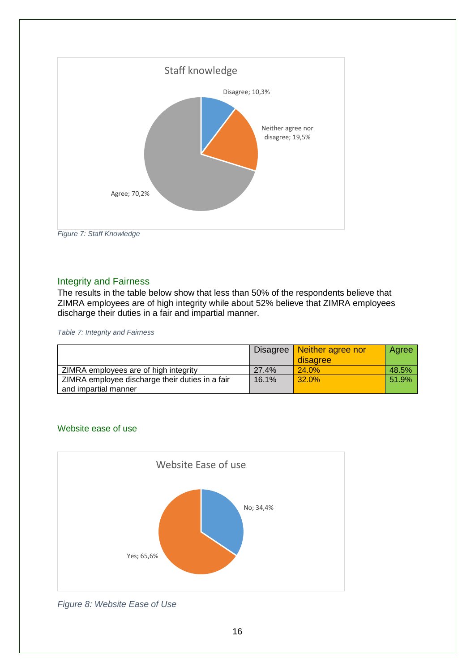

<span id="page-16-2"></span>

#### <span id="page-16-0"></span>Integrity and Fairness

The results in the table below show that less than 50% of the respondents believe that ZIMRA employees are of high integrity while about 52% believe that ZIMRA employees discharge their duties in a fair and impartial manner.

<span id="page-16-4"></span>*Table 7: Integrity and Fairness*

|                                                 |       | Disagree   Neither agree nor | Agree |
|-------------------------------------------------|-------|------------------------------|-------|
|                                                 |       | disagree                     |       |
| ZIMRA employees are of high integrity           | 27.4% | <b>24.0%</b>                 | 48.5% |
| ZIMRA employee discharge their duties in a fair | 16.1% | $32.0\%$                     | 51.9% |
| and impartial manner                            |       |                              |       |

#### <span id="page-16-1"></span>Website ease of use



<span id="page-16-3"></span>*Figure 8: Website Ease of Use*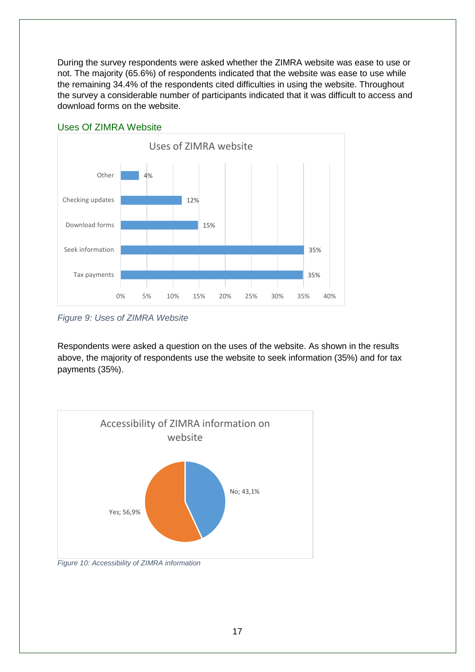During the survey respondents were asked whether the ZIMRA website was ease to use or not. The majority (65.6%) of respondents indicated that the website was ease to use while the remaining 34.4% of the respondents cited difficulties in using the website. Throughout the survey a considerable number of participants indicated that it was difficult to access and download forms on the website.



# <span id="page-17-0"></span>Uses Of ZIMRA Website

<span id="page-17-1"></span>*Figure 9: Uses of ZIMRA Website*

Respondents were asked a question on the uses of the website. As shown in the results above, the majority of respondents use the website to seek information (35%) and for tax payments (35%).



<span id="page-17-2"></span>*Figure 10: Accessibility of ZIMRA information*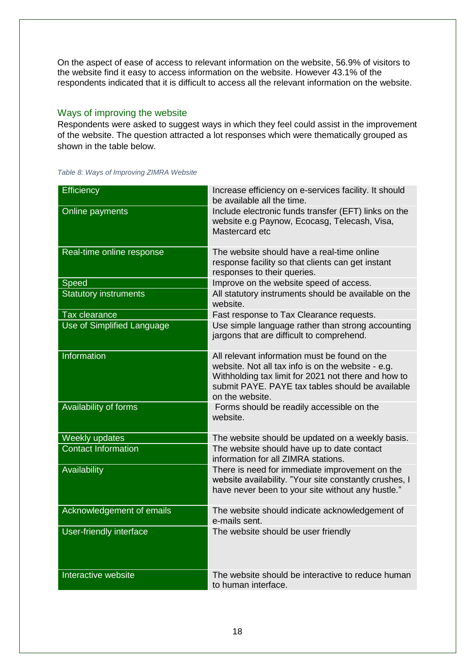On the aspect of ease of access to relevant information on the website, 56.9% of visitors to the website find it easy to access information on the website. However 43.1% of the respondents indicated that it is difficult to access all the relevant information on the website.

#### <span id="page-18-0"></span>Ways of improving the website

Respondents were asked to suggest ways in which they feel could assist in the improvement of the website. The question attracted a lot responses which were thematically grouped as shown in the table below.

<span id="page-18-1"></span>

|  |  | Table 8: Ways of Improving ZIMRA Website |  |  |
|--|--|------------------------------------------|--|--|
|--|--|------------------------------------------|--|--|

| Efficiency                     | Increase efficiency on e-services facility. It should<br>be available all the time.                                                                                                                                               |
|--------------------------------|-----------------------------------------------------------------------------------------------------------------------------------------------------------------------------------------------------------------------------------|
| Online payments                | Include electronic funds transfer (EFT) links on the<br>website e.g Paynow, Ecocasg, Telecash, Visa,<br>Mastercard etc                                                                                                            |
| Real-time online response      | The website should have a real-time online<br>response facility so that clients can get instant<br>responses to their queries.                                                                                                    |
| Speed                          | Improve on the website speed of access.                                                                                                                                                                                           |
| <b>Statutory instruments</b>   | All statutory instruments should be available on the<br>website.                                                                                                                                                                  |
| Tax clearance                  | Fast response to Tax Clearance requests.                                                                                                                                                                                          |
| Use of Simplified Language     | Use simple language rather than strong accounting<br>jargons that are difficult to comprehend.                                                                                                                                    |
| Information                    | All relevant information must be found on the<br>website. Not all tax info is on the website - e.g.<br>Withholding tax limit for 2021 not there and how to<br>submit PAYE, PAYE tax tables should be available<br>on the website. |
| Availability of forms          | Forms should be readily accessible on the<br>website.                                                                                                                                                                             |
| Weekly updates                 | The website should be updated on a weekly basis.                                                                                                                                                                                  |
| <b>Contact Information</b>     | The website should have up to date contact<br>information for all ZIMRA stations.                                                                                                                                                 |
| Availability                   | There is need for immediate improvement on the<br>website availability. "Your site constantly crushes, I<br>have never been to your site without any hustle."                                                                     |
| Acknowledgement of emails      | The website should indicate acknowledgement of<br>e-mails sent.                                                                                                                                                                   |
| <b>User-friendly interface</b> | The website should be user friendly                                                                                                                                                                                               |
| Interactive website            | The website should be interactive to reduce human<br>to human interface.                                                                                                                                                          |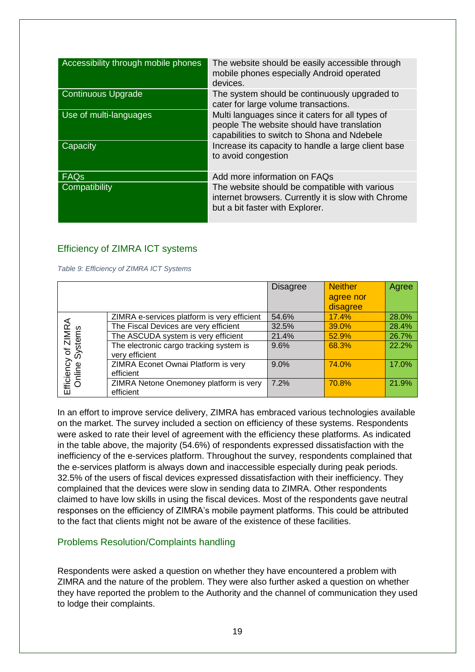| Accessibility through mobile phones | The website should be easily accessible through<br>mobile phones especially Android operated<br>devices.                                      |
|-------------------------------------|-----------------------------------------------------------------------------------------------------------------------------------------------|
| <b>Continuous Upgrade</b>           | The system should be continuously upgraded to<br>cater for large volume transactions.                                                         |
| Use of multi-languages              | Multi languages since it caters for all types of<br>people The website should have translation<br>capabilities to switch to Shona and Ndebele |
| Capacity                            | Increase its capacity to handle a large client base<br>to avoid congestion                                                                    |
| <b>FAQs</b>                         | Add more information on FAQs                                                                                                                  |
| Compatibility                       | The website should be compatible with various<br>internet browsers. Currently it is slow with Chrome<br>but a bit faster with Explorer.       |

## <span id="page-19-0"></span>Efficiency of ZIMRA ICT systems

<span id="page-19-2"></span>*Table 9: Efficiency of ZIMRA ICT Systems*

|                                      |                                             | <b>Disagree</b> | <b>Neither</b> | Agree |
|--------------------------------------|---------------------------------------------|-----------------|----------------|-------|
|                                      |                                             |                 | agree nor      |       |
|                                      |                                             |                 | disagree       |       |
|                                      | ZIMRA e-services platform is very efficient | 54.6%           | 17.4%          | 28.0% |
|                                      | The Fiscal Devices are very efficient       | 32.5%           | 39.0%          | 28.4% |
|                                      | The ASCUDA system is very efficient         | 21.4%           | 52.9%          | 26.7% |
| Efficiency of ZIMR<br>Online Systems | The electronic cargo tracking system is     | 9.6%            | 68.3%          | 22.2% |
|                                      | very efficient                              |                 |                |       |
|                                      | ZIMRA Econet Ownai Platform is very         | 9.0%            | 74.0%          | 17.0% |
|                                      | efficient                                   |                 |                |       |
|                                      | ZIMRA Netone Onemoney platform is very      | 7.2%            | 70.8%          | 21.9% |
|                                      | efficient                                   |                 |                |       |

In an effort to improve service delivery, ZIMRA has embraced various technologies available on the market. The survey included a section on efficiency of these systems. Respondents were asked to rate their level of agreement with the efficiency these platforms. As indicated in the table above, the majority (54.6%) of respondents expressed dissatisfaction with the inefficiency of the e-services platform. Throughout the survey, respondents complained that the e-services platform is always down and inaccessible especially during peak periods. 32.5% of the users of fiscal devices expressed dissatisfaction with their inefficiency. They complained that the devices were slow in sending data to ZIMRA. Other respondents claimed to have low skills in using the fiscal devices. Most of the respondents gave neutral responses on the efficiency of ZIMRA's mobile payment platforms. This could be attributed to the fact that clients might not be aware of the existence of these facilities.

#### <span id="page-19-1"></span>Problems Resolution/Complaints handling

Respondents were asked a question on whether they have encountered a problem with ZIMRA and the nature of the problem. They were also further asked a question on whether they have reported the problem to the Authority and the channel of communication they used to lodge their complaints.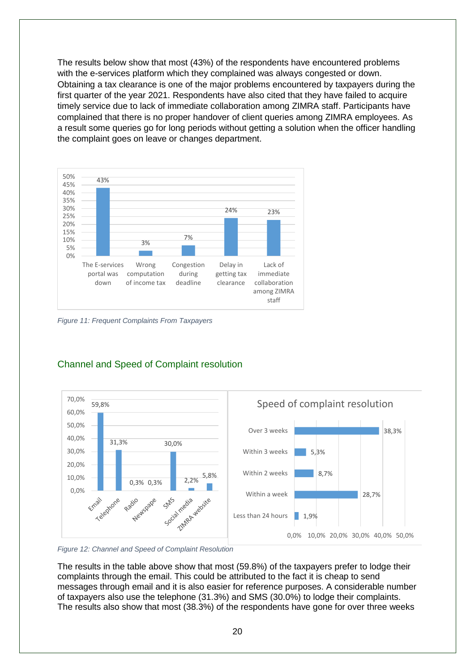The results below show that most (43%) of the respondents have encountered problems with the e-services platform which they complained was always congested or down. Obtaining a tax clearance is one of the major problems encountered by taxpayers during the first quarter of the year 2021. Respondents have also cited that they have failed to acquire timely service due to lack of immediate collaboration among ZIMRA staff. Participants have complained that there is no proper handover of client queries among ZIMRA employees. As a result some queries go for long periods without getting a solution when the officer handling the complaint goes on leave or changes department.



<span id="page-20-1"></span>*Figure 11: Frequent Complaints From Taxpayers*



# <span id="page-20-0"></span>Channel and Speed of Complaint resolution

<span id="page-20-2"></span>*Figure 12: Channel and Speed of Complaint Resolution*

The results in the table above show that most (59.8%) of the taxpayers prefer to lodge their complaints through the email. This could be attributed to the fact it is cheap to send messages through email and it is also easier for reference purposes. A considerable number of taxpayers also use the telephone (31.3%) and SMS (30.0%) to lodge their complaints. The results also show that most (38.3%) of the respondents have gone for over three weeks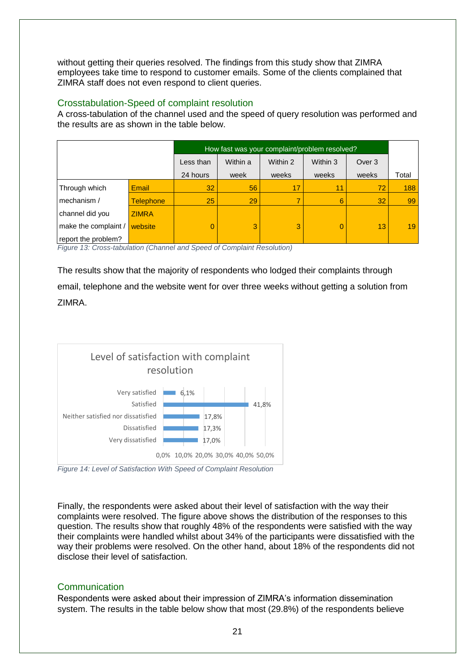without getting their queries resolved. The findings from this study show that ZIMRA employees take time to respond to customer emails. Some of the clients complained that ZIMRA staff does not even respond to client queries.

#### <span id="page-21-0"></span>Crosstabulation-Speed of complaint resolution

A cross-tabulation of the channel used and the speed of query resolution was performed and the results are as shown in the table below.

|                      |                  | How fast was your complaint/problem resolved? |          |          |        |                 |       |
|----------------------|------------------|-----------------------------------------------|----------|----------|--------|-----------------|-------|
|                      | Less than        | Within a                                      | Within 2 | Within 3 | Over 3 |                 |       |
|                      |                  | 24 hours                                      | week     | weeks    | weeks  | weeks           | Total |
| Through which        | Email            | 32                                            | 56       | 17       | 11     | 72 <sup>°</sup> | 188   |
| mechanism $/$        | <b>Telephone</b> | 25                                            | 29       |          | 6      | 32              | 99    |
| channel did you      | <b>ZIMRA</b>     |                                               |          |          |        |                 |       |
| make the complaint / | website          | 0                                             | 3        | 3        |        | 13              | 19    |
| report the problem?  |                  |                                               |          |          |        |                 |       |

<span id="page-21-2"></span>*Figure 13: Cross-tabulation (Channel and Speed of Complaint Resolution)*

The results show that the majority of respondents who lodged their complaints through email, telephone and the website went for over three weeks without getting a solution from ZIMRA.



<span id="page-21-3"></span>*Figure 14: Level of Satisfaction With Speed of Complaint Resolution*

Finally, the respondents were asked about their level of satisfaction with the way their complaints were resolved. The figure above shows the distribution of the responses to this question. The results show that roughly 48% of the respondents were satisfied with the way their complaints were handled whilst about 34% of the participants were dissatisfied with the way their problems were resolved. On the other hand, about 18% of the respondents did not disclose their level of satisfaction.

#### <span id="page-21-1"></span>**Communication**

Respondents were asked about their impression of ZIMRA's information dissemination system. The results in the table below show that most (29.8%) of the respondents believe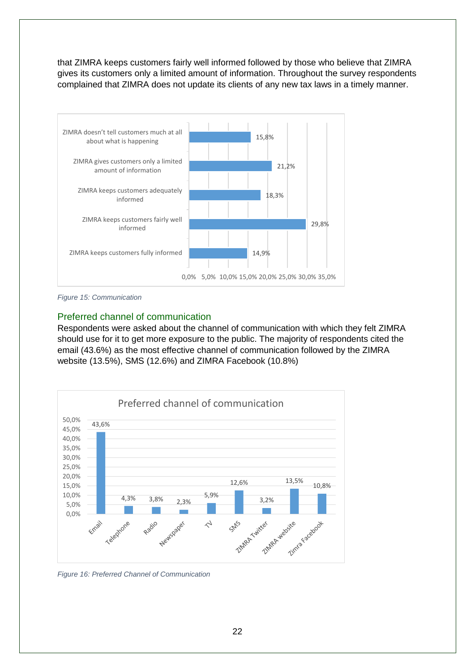that ZIMRA keeps customers fairly well informed followed by those who believe that ZIMRA gives its customers only a limited amount of information. Throughout the survey respondents complained that ZIMRA does not update its clients of any new tax laws in a timely manner.



<span id="page-22-1"></span>

#### <span id="page-22-0"></span>Preferred channel of communication

Respondents were asked about the channel of communication with which they felt ZIMRA should use for it to get more exposure to the public. The majority of respondents cited the email (43.6%) as the most effective channel of communication followed by the ZIMRA website (13.5%), SMS (12.6%) and ZIMRA Facebook (10.8%)



<span id="page-22-2"></span>*Figure 16: Preferred Channel of Communication*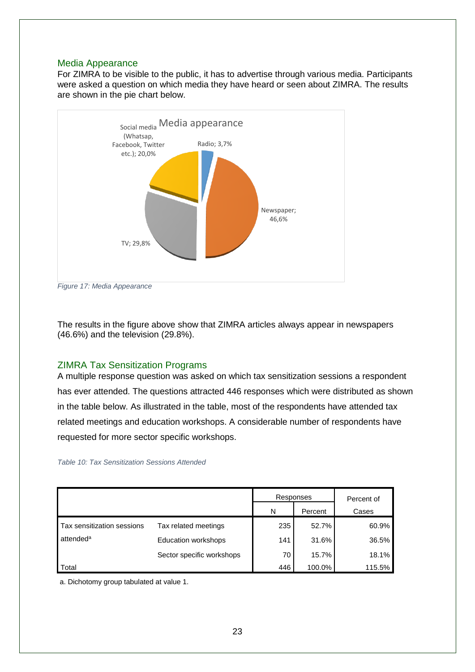#### <span id="page-23-0"></span>Media Appearance

For ZIMRA to be visible to the public, it has to advertise through various media. Participants were asked a question on which media they have heard or seen about ZIMRA. The results are shown in the pie chart below.



<span id="page-23-2"></span>*Figure 17: Media Appearance*

The results in the figure above show that ZIMRA articles always appear in newspapers (46.6%) and the television (29.8%).

#### <span id="page-23-1"></span>ZIMRA Tax Sensitization Programs

A multiple response question was asked on which tax sensitization sessions a respondent has ever attended. The questions attracted 446 responses which were distributed as shown in the table below. As illustrated in the table, most of the respondents have attended tax related meetings and education workshops. A considerable number of respondents have requested for more sector specific workshops.

<span id="page-23-3"></span>*Table 10: Tax Sensitization Sessions Attended*

|                            |                            |     | Responses | Percent of |
|----------------------------|----------------------------|-----|-----------|------------|
|                            |                            | N   | Percent   | Cases      |
| Tax sensitization sessions | Tax related meetings       | 235 | 52.7%     | 60.9%      |
| attended <sup>a</sup>      | <b>Education workshops</b> | 141 | 31.6%     | 36.5%      |
|                            | Sector specific workshops  | 70  | 15.7%     | 18.1%      |
| Total                      |                            | 446 | 100.0%    | 115.5%     |

a. Dichotomy group tabulated at value 1.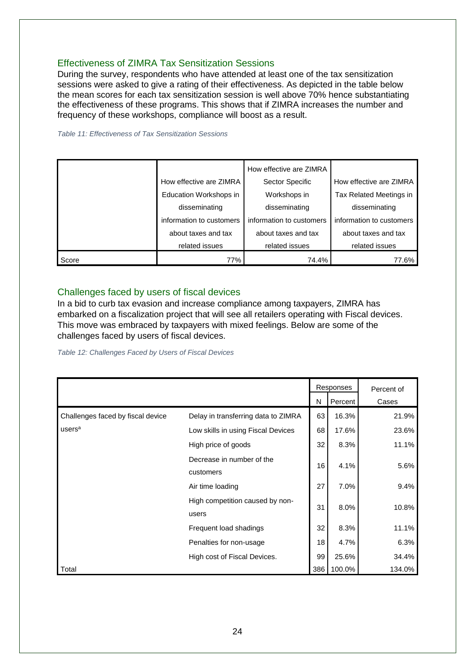# <span id="page-24-0"></span>Effectiveness of ZIMRA Tax Sensitization Sessions

During the survey, respondents who have attended at least one of the tax sensitization sessions were asked to give a rating of their effectiveness. As depicted in the table below the mean scores for each tax sensitization session is well above 70% hence substantiating the effectiveness of these programs. This shows that if ZIMRA increases the number and frequency of these workshops, compliance will boost as a result.

#### <span id="page-24-2"></span>*Table 11: Effectiveness of Tax Sensitization Sessions*

|       |                          | How effective are ZIMRA  |                          |
|-------|--------------------------|--------------------------|--------------------------|
|       | How effective are ZIMRA  | Sector Specific          | How effective are ZIMRA  |
|       | Education Workshops in   | Workshops in             | Tax Related Meetings in  |
|       | disseminating            | disseminating            | disseminating            |
|       | information to customers | information to customers | information to customers |
|       | about taxes and tax      | about taxes and tax      | about taxes and tax      |
|       | related issues           | related issues           | related issues           |
| Score | 77%                      | 74.4%                    | 77.6%                    |

#### <span id="page-24-1"></span>Challenges faced by users of fiscal devices

In a bid to curb tax evasion and increase compliance among taxpayers, ZIMRA has embarked on a fiscalization project that will see all retailers operating with Fiscal devices. This move was embraced by taxpayers with mixed feelings. Below are some of the challenges faced by users of fiscal devices.

<span id="page-24-3"></span>*Table 12: Challenges Faced by Users of Fiscal Devices*

|                                   |                                     |     | Responses | Percent of |
|-----------------------------------|-------------------------------------|-----|-----------|------------|
|                                   |                                     | N   | Percent   | Cases      |
| Challenges faced by fiscal device | Delay in transferring data to ZIMRA | 63  | 16.3%     | 21.9%      |
| users <sup>a</sup>                | Low skills in using Fiscal Devices  | 68  | 17.6%     | 23.6%      |
|                                   | High price of goods                 | 32  | 8.3%      | 11.1%      |
|                                   | Decrease in number of the           | 16  | 4.1%      | 5.6%       |
|                                   | customers                           |     |           |            |
|                                   | Air time loading                    | 27  | 7.0%      | 9.4%       |
|                                   | High competition caused by non-     | 31  | 8.0%      | 10.8%      |
|                                   | users                               |     |           |            |
|                                   | Frequent load shadings              | 32  | 8.3%      | 11.1%      |
|                                   | Penalties for non-usage             | 18  | 4.7%      | 6.3%       |
|                                   | High cost of Fiscal Devices.        | 99  | 25.6%     | 34.4%      |
| Total                             |                                     | 386 | 100.0%    | 134.0%     |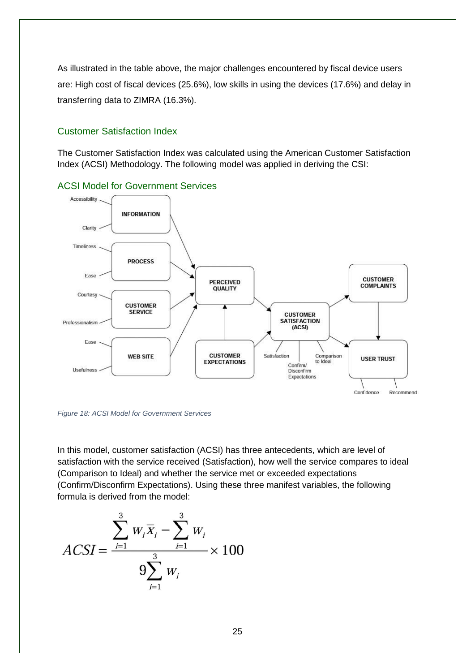As illustrated in the table above, the major challenges encountered by fiscal device users are: High cost of fiscal devices (25.6%), low skills in using the devices (17.6%) and delay in transferring data to ZIMRA (16.3%).

#### <span id="page-25-0"></span>Customer Satisfaction Index

The Customer Satisfaction Index was calculated using the American Customer Satisfaction Index (ACSI) Methodology. The following model was applied in deriving the CSI:



#### <span id="page-25-1"></span>ACSI Model for Government Services

<span id="page-25-2"></span>*Figure 18: ACSI Model for Government Services*

In this model, customer satisfaction (ACSI) has three antecedents, which are level of satisfaction with the service received (Satisfaction), how well the service compares to ideal (Comparison to Ideal) and whether the service met or exceeded expectations (Confirm/Disconfirm Expectations). Using these three manifest variables, the following formula is derived from the model:

$$
ACSI = \frac{\sum_{i=1}^{3} w_i \overline{x}_i - \sum_{i=1}^{3} w_i}{9\sum_{i=1}^{3} w_i} \times 100
$$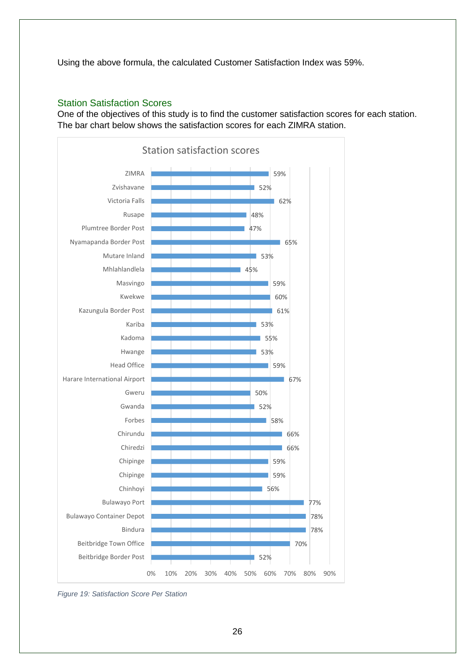Using the above formula, the calculated Customer Satisfaction Index was 59%.

#### <span id="page-26-0"></span>Station Satisfaction Scores

One of the objectives of this study is to find the customer satisfaction scores for each station. The bar chart below shows the satisfaction scores for each ZIMRA station.



<span id="page-26-1"></span>*Figure 19: Satisfaction Score Per Station*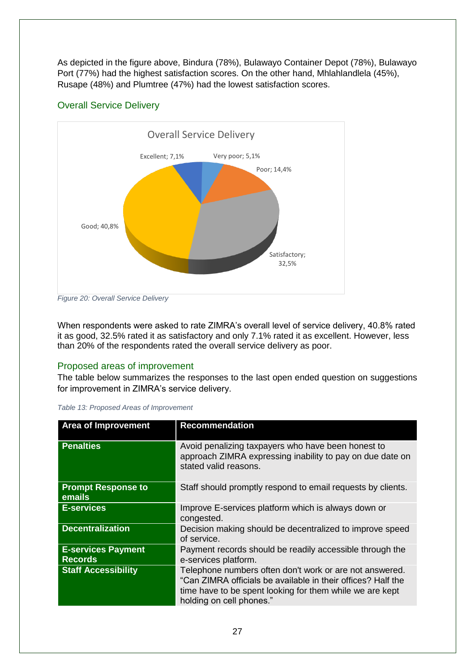As depicted in the figure above, Bindura (78%), Bulawayo Container Depot (78%), Bulawayo Port (77%) had the highest satisfaction scores. On the other hand, Mhlahlandlela (45%), Rusape (48%) and Plumtree (47%) had the lowest satisfaction scores.

# <span id="page-27-0"></span>Overall Service Delivery



<span id="page-27-2"></span>When respondents were asked to rate ZIMRA's overall level of service delivery, 40.8% rated it as good, 32.5% rated it as satisfactory and only 7.1% rated it as excellent. However, less than 20% of the respondents rated the overall service delivery as poor.

#### <span id="page-27-1"></span>Proposed areas of improvement

The table below summarizes the responses to the last open ended question on suggestions for improvement in ZIMRA's service delivery.

<span id="page-27-3"></span>

|  |  |  |  |  | Table 13: Proposed Areas of Improvement |
|--|--|--|--|--|-----------------------------------------|
|--|--|--|--|--|-----------------------------------------|

| <b>Area of Improvement</b>                  | <b>Recommendation</b>                                                                                                                                                                                           |
|---------------------------------------------|-----------------------------------------------------------------------------------------------------------------------------------------------------------------------------------------------------------------|
| <b>Penalties</b>                            | Avoid penalizing taxpayers who have been honest to<br>approach ZIMRA expressing inability to pay on due date on<br>stated valid reasons.                                                                        |
| <b>Prompt Response to</b><br>emails         | Staff should promptly respond to email requests by clients.                                                                                                                                                     |
| <b>E-services</b>                           | Improve E-services platform which is always down or<br>congested.                                                                                                                                               |
| <b>Decentralization</b>                     | Decision making should be decentralized to improve speed<br>of service.                                                                                                                                         |
| <b>E-services Payment</b><br><b>Records</b> | Payment records should be readily accessible through the<br>e-services platform.                                                                                                                                |
| <b>Staff Accessibility</b>                  | Telephone numbers often don't work or are not answered.<br>"Can ZIMRA officials be available in their offices? Half the<br>time have to be spent looking for them while we are kept<br>holding on cell phones." |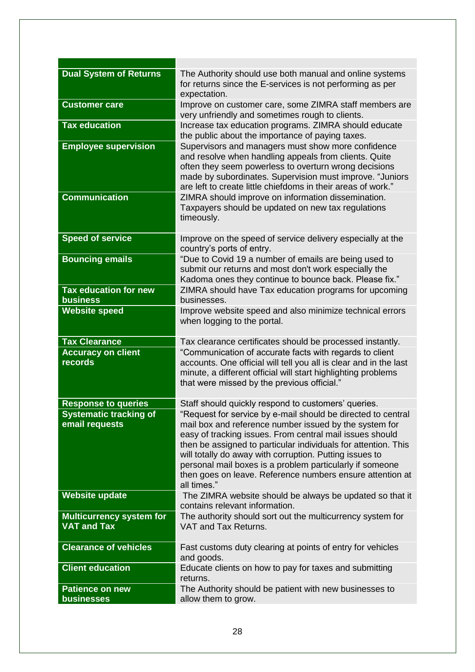| <b>Dual System of Returns</b>                         | The Authority should use both manual and online systems<br>for returns since the E-services is not performing as per<br>expectation.                                                                                                                                                                                                                                                                                                                    |
|-------------------------------------------------------|---------------------------------------------------------------------------------------------------------------------------------------------------------------------------------------------------------------------------------------------------------------------------------------------------------------------------------------------------------------------------------------------------------------------------------------------------------|
| <b>Customer care</b>                                  | Improve on customer care, some ZIMRA staff members are<br>very unfriendly and sometimes rough to clients.                                                                                                                                                                                                                                                                                                                                               |
| <b>Tax education</b>                                  | Increase tax education programs. ZIMRA should educate<br>the public about the importance of paying taxes.                                                                                                                                                                                                                                                                                                                                               |
| <b>Employee supervision</b>                           | Supervisors and managers must show more confidence<br>and resolve when handling appeals from clients. Quite<br>often they seem powerless to overturn wrong decisions<br>made by subordinates. Supervision must improve. "Juniors<br>are left to create little chiefdoms in their areas of work."                                                                                                                                                        |
| <b>Communication</b>                                  | ZIMRA should improve on information dissemination.<br>Taxpayers should be updated on new tax regulations<br>timeously.                                                                                                                                                                                                                                                                                                                                  |
| <b>Speed of service</b>                               | Improve on the speed of service delivery especially at the<br>country's ports of entry.                                                                                                                                                                                                                                                                                                                                                                 |
| <b>Bouncing emails</b>                                | "Due to Covid 19 a number of emails are being used to<br>submit our returns and most don't work especially the<br>Kadoma ones they continue to bounce back. Please fix."                                                                                                                                                                                                                                                                                |
| <b>Tax education for new</b>                          | ZIMRA should have Tax education programs for upcoming                                                                                                                                                                                                                                                                                                                                                                                                   |
| business                                              | businesses.                                                                                                                                                                                                                                                                                                                                                                                                                                             |
| <b>Website speed</b>                                  | Improve website speed and also minimize technical errors<br>when logging to the portal.                                                                                                                                                                                                                                                                                                                                                                 |
| <b>Tax Clearance</b>                                  | Tax clearance certificates should be processed instantly.                                                                                                                                                                                                                                                                                                                                                                                               |
| <b>Accuracy on client</b><br>records                  | "Communication of accurate facts with regards to client<br>accounts. One official will tell you all is clear and in the last<br>minute, a different official will start highlighting problems<br>that were missed by the previous official."                                                                                                                                                                                                            |
| <b>Response to queries</b>                            | Staff should quickly respond to customers' queries.                                                                                                                                                                                                                                                                                                                                                                                                     |
| <b>Systematic tracking of</b><br>email requests       | "Request for service by e-mail should be directed to central<br>mail box and reference number issued by the system for<br>easy of tracking issues. From central mail issues should<br>then be assigned to particular individuals for attention. This<br>will totally do away with corruption. Putting issues to<br>personal mail boxes is a problem particularly if someone<br>then goes on leave. Reference numbers ensure attention at<br>all times." |
| <b>Website update</b>                                 | The ZIMRA website should be always be updated so that it<br>contains relevant information.                                                                                                                                                                                                                                                                                                                                                              |
| <b>Multicurrency system for</b><br><b>VAT and Tax</b> | The authority should sort out the multicurrency system for<br>VAT and Tax Returns.                                                                                                                                                                                                                                                                                                                                                                      |
| <b>Clearance of vehicles</b>                          | Fast customs duty clearing at points of entry for vehicles<br>and goods.                                                                                                                                                                                                                                                                                                                                                                                |
| <b>Client education</b>                               | Educate clients on how to pay for taxes and submitting<br>returns.                                                                                                                                                                                                                                                                                                                                                                                      |
| <b>Patience on new</b><br>businesses                  | The Authority should be patient with new businesses to<br>allow them to grow.                                                                                                                                                                                                                                                                                                                                                                           |
|                                                       |                                                                                                                                                                                                                                                                                                                                                                                                                                                         |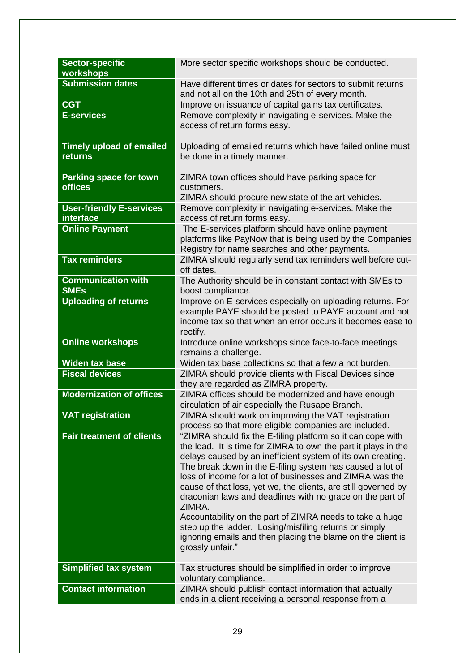| Sector-specific<br>workshops                      | More sector specific workshops should be conducted.                                                                                                                                                                                                                                                                                                                                                                                                                                                                                                                                                                                                                     |
|---------------------------------------------------|-------------------------------------------------------------------------------------------------------------------------------------------------------------------------------------------------------------------------------------------------------------------------------------------------------------------------------------------------------------------------------------------------------------------------------------------------------------------------------------------------------------------------------------------------------------------------------------------------------------------------------------------------------------------------|
| <b>Submission dates</b>                           | Have different times or dates for sectors to submit returns<br>and not all on the 10th and 25th of every month.                                                                                                                                                                                                                                                                                                                                                                                                                                                                                                                                                         |
| <b>CGT</b>                                        | Improve on issuance of capital gains tax certificates.                                                                                                                                                                                                                                                                                                                                                                                                                                                                                                                                                                                                                  |
| <b>E-services</b>                                 | Remove complexity in navigating e-services. Make the<br>access of return forms easy.                                                                                                                                                                                                                                                                                                                                                                                                                                                                                                                                                                                    |
| <b>Timely upload of emailed</b><br><b>returns</b> | Uploading of emailed returns which have failed online must<br>be done in a timely manner.                                                                                                                                                                                                                                                                                                                                                                                                                                                                                                                                                                               |
| <b>Parking space for town</b><br><b>offices</b>   | ZIMRA town offices should have parking space for<br>customers.<br>ZIMRA should procure new state of the art vehicles.                                                                                                                                                                                                                                                                                                                                                                                                                                                                                                                                                   |
| <b>User-friendly E-services</b><br>interface      | Remove complexity in navigating e-services. Make the<br>access of return forms easy.                                                                                                                                                                                                                                                                                                                                                                                                                                                                                                                                                                                    |
| <b>Online Payment</b>                             | The E-services platform should have online payment<br>platforms like PayNow that is being used by the Companies<br>Registry for name searches and other payments.                                                                                                                                                                                                                                                                                                                                                                                                                                                                                                       |
| <b>Tax reminders</b>                              | ZIMRA should regularly send tax reminders well before cut-<br>off dates.                                                                                                                                                                                                                                                                                                                                                                                                                                                                                                                                                                                                |
| <b>Communication with</b><br><b>SMEs</b>          | The Authority should be in constant contact with SMEs to<br>boost compliance.                                                                                                                                                                                                                                                                                                                                                                                                                                                                                                                                                                                           |
| <b>Uploading of returns</b>                       | Improve on E-services especially on uploading returns. For<br>example PAYE should be posted to PAYE account and not<br>income tax so that when an error occurs it becomes ease to<br>rectify.                                                                                                                                                                                                                                                                                                                                                                                                                                                                           |
| <b>Online workshops</b>                           | Introduce online workshops since face-to-face meetings<br>remains a challenge.                                                                                                                                                                                                                                                                                                                                                                                                                                                                                                                                                                                          |
| <b>Widen tax base</b>                             | Widen tax base collections so that a few a not burden.                                                                                                                                                                                                                                                                                                                                                                                                                                                                                                                                                                                                                  |
| <b>Fiscal devices</b>                             | ZIMRA should provide clients with Fiscal Devices since<br>they are regarded as ZIMRA property.                                                                                                                                                                                                                                                                                                                                                                                                                                                                                                                                                                          |
| <b>Modernization of offices</b>                   | ZIMRA offices should be modernized and have enough<br>circulation of air especially the Rusape Branch.                                                                                                                                                                                                                                                                                                                                                                                                                                                                                                                                                                  |
| <b>VAT registration</b>                           | ZIMRA should work on improving the VAT registration<br>process so that more eligible companies are included.                                                                                                                                                                                                                                                                                                                                                                                                                                                                                                                                                            |
| <b>Fair treatment of clients</b>                  | "ZIMRA should fix the E-filing platform so it can cope with<br>the load. It is time for ZIMRA to own the part it plays in the<br>delays caused by an inefficient system of its own creating.<br>The break down in the E-filing system has caused a lot of<br>loss of income for a lot of businesses and ZIMRA was the<br>cause of that loss, yet we, the clients, are still governed by<br>draconian laws and deadlines with no grace on the part of<br>ZIMRA.<br>Accountability on the part of ZIMRA needs to take a huge<br>step up the ladder. Losing/misfiling returns or simply<br>ignoring emails and then placing the blame on the client is<br>grossly unfair." |
| <b>Simplified tax system</b>                      | Tax structures should be simplified in order to improve<br>voluntary compliance.                                                                                                                                                                                                                                                                                                                                                                                                                                                                                                                                                                                        |
| <b>Contact information</b>                        | ZIMRA should publish contact information that actually<br>ends in a client receiving a personal response from a                                                                                                                                                                                                                                                                                                                                                                                                                                                                                                                                                         |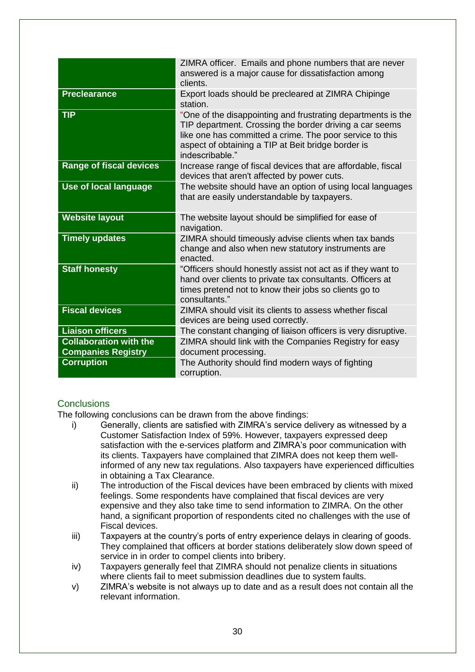| ZIMRA officer. Emails and phone numbers that are never<br>answered is a major cause for dissatisfaction among<br>clients.                                                                                                                                    |
|--------------------------------------------------------------------------------------------------------------------------------------------------------------------------------------------------------------------------------------------------------------|
| Export loads should be precleared at ZIMRA Chipinge<br>station.                                                                                                                                                                                              |
| "One of the disappointing and frustrating departments is the<br>TIP department. Crossing the border driving a car seems<br>like one has committed a crime. The poor service to this<br>aspect of obtaining a TIP at Beit bridge border is<br>indescribable." |
| Increase range of fiscal devices that are affordable, fiscal<br>devices that aren't affected by power cuts.                                                                                                                                                  |
| The website should have an option of using local languages<br>that are easily understandable by taxpayers.                                                                                                                                                   |
| The website layout should be simplified for ease of<br>navigation.                                                                                                                                                                                           |
| ZIMRA should timeously advise clients when tax bands<br>change and also when new statutory instruments are<br>enacted.                                                                                                                                       |
| "Officers should honestly assist not act as if they want to<br>hand over clients to private tax consultants. Officers at<br>times pretend not to know their jobs so clients go to<br>consultants."                                                           |
| ZIMRA should visit its clients to assess whether fiscal<br>devices are being used correctly.                                                                                                                                                                 |
| The constant changing of liaison officers is very disruptive.                                                                                                                                                                                                |
| ZIMRA should link with the Companies Registry for easy<br>document processing.                                                                                                                                                                               |
| The Authority should find modern ways of fighting<br>corruption.                                                                                                                                                                                             |
|                                                                                                                                                                                                                                                              |

# <span id="page-30-0"></span>**Conclusions**

The following conclusions can be drawn from the above findings:

- i) Generally, clients are satisfied with ZIMRA's service delivery as witnessed by a Customer Satisfaction Index of 59%. However, taxpayers expressed deep satisfaction with the e-services platform and ZIMRA's poor communication with its clients. Taxpayers have complained that ZIMRA does not keep them wellinformed of any new tax regulations. Also taxpayers have experienced difficulties in obtaining a Tax Clearance.
- ii) The introduction of the Fiscal devices have been embraced by clients with mixed feelings. Some respondents have complained that fiscal devices are very expensive and they also take time to send information to ZIMRA. On the other hand, a significant proportion of respondents cited no challenges with the use of Fiscal devices.
- iii) Taxpayers at the country's ports of entry experience delays in clearing of goods. They complained that officers at border stations deliberately slow down speed of service in in order to compel clients into bribery.
- iv) Taxpayers generally feel that ZIMRA should not penalize clients in situations where clients fail to meet submission deadlines due to system faults.
- v) ZIMRA's website is not always up to date and as a result does not contain all the relevant information.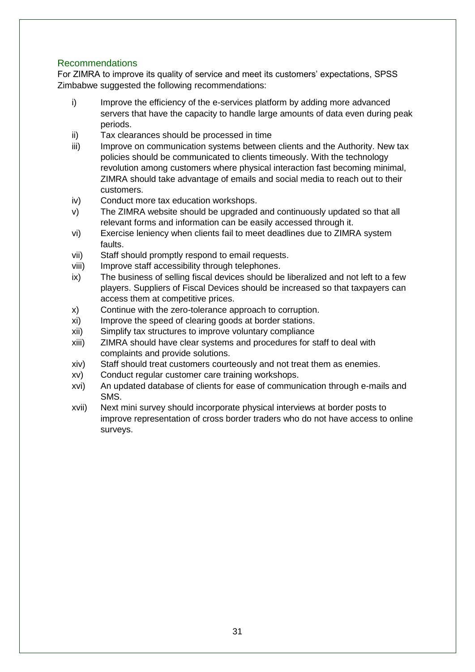# <span id="page-31-0"></span>Recommendations

For ZIMRA to improve its quality of service and meet its customers' expectations, SPSS Zimbabwe suggested the following recommendations:

- i) Improve the efficiency of the e-services platform by adding more advanced servers that have the capacity to handle large amounts of data even during peak periods.
- ii) Tax clearances should be processed in time
- iii) Improve on communication systems between clients and the Authority. New tax policies should be communicated to clients timeously. With the technology revolution among customers where physical interaction fast becoming minimal, ZIMRA should take advantage of emails and social media to reach out to their customers.
- iv) Conduct more tax education workshops.
- v) The ZIMRA website should be upgraded and continuously updated so that all relevant forms and information can be easily accessed through it.
- vi) Exercise leniency when clients fail to meet deadlines due to ZIMRA system faults.
- vii) Staff should promptly respond to email requests.
- viii) Improve staff accessibility through telephones.
- ix) The business of selling fiscal devices should be liberalized and not left to a few players. Suppliers of Fiscal Devices should be increased so that taxpayers can access them at competitive prices.
- x) Continue with the zero-tolerance approach to corruption.
- xi) Improve the speed of clearing goods at border stations.
- xii) Simplify tax structures to improve voluntary compliance
- xiii) ZIMRA should have clear systems and procedures for staff to deal with complaints and provide solutions.
- xiv) Staff should treat customers courteously and not treat them as enemies.
- xv) Conduct regular customer care training workshops.
- xvi) An updated database of clients for ease of communication through e-mails and SMS.
- xvii) Next mini survey should incorporate physical interviews at border posts to improve representation of cross border traders who do not have access to online surveys.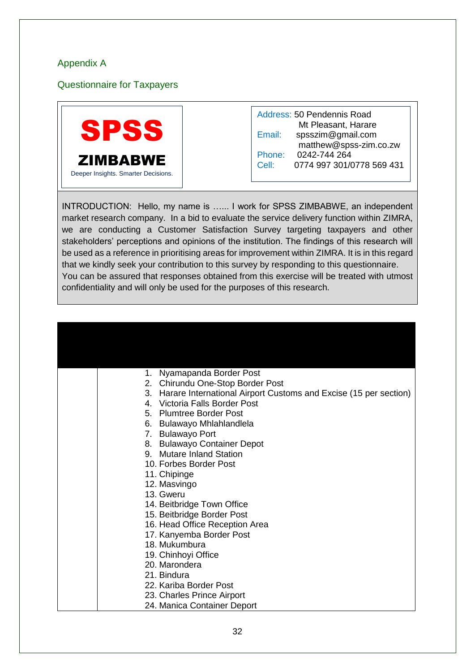# <span id="page-32-0"></span>Appendix A

<span id="page-32-1"></span>Questionnaire for Taxpayers



Address: 50 Pendennis Road Mt Pleasant, Harare Email: spsszim@gmail.com matthew@spss-zim.co.zw Phone: 0242-744 264 Cell: 0774 997 301/0778 569 431

INTRODUCTION: Hello, my name is …... I work for SPSS ZIMBABWE, an independent market research company. In a bid to evaluate the service delivery function within ZIMRA, we are conducting a Customer Satisfaction Survey targeting taxpayers and other stakeholders' perceptions and opinions of the institution. The findings of this research will be used as a reference in prioritising areas for improvement within ZIMRA. It is in this regard that we kindly seek your contribution to this survey by responding to this questionnaire. You can be assured that responses obtained from this exercise will be treated with utmost confidentiality and will only be used for the purposes of this research.

| 1. Nyamapanda Border Post<br>2. Chirundu One-Stop Border Post       |
|---------------------------------------------------------------------|
| 3. Harare International Airport Customs and Excise (15 per section) |
| 4. Victoria Falls Border Post                                       |
| 5. Plumtree Border Post                                             |
| 6. Bulawayo Mhlahlandlela                                           |
| 7. Bulawayo Port                                                    |
| 8. Bulawayo Container Depot                                         |
| 9. Mutare Inland Station                                            |
| 10. Forbes Border Post                                              |
| 11. Chipinge                                                        |
| 12. Masvingo                                                        |
| 13. Gweru                                                           |
| 14. Beitbridge Town Office                                          |
| 15. Beitbridge Border Post                                          |
| 16. Head Office Reception Area                                      |
| 17. Kanyemba Border Post                                            |
| 18. Mukumbura                                                       |
| 19. Chinhoyi Office                                                 |
| 20. Marondera                                                       |
| 21. Bindura                                                         |
| 22. Kariba Border Post                                              |
| 23. Charles Prince Airport                                          |
| 24. Manica Container Deport                                         |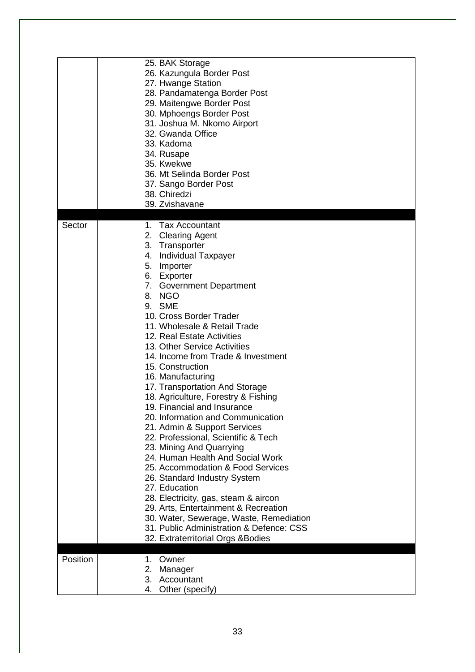|          | 25. BAK Storage<br>26. Kazungula Border Post<br>27. Hwange Station<br>28. Pandamatenga Border Post<br>29. Maitengwe Border Post<br>30. Mphoengs Border Post<br>31. Joshua M. Nkomo Airport<br>32. Gwanda Office<br>33. Kadoma<br>34. Rusape<br>35. Kwekwe<br>36. Mt Selinda Border Post<br>37. Sango Border Post<br>38. Chiredzi<br>39. Zvishavane                                                                                                                                                                                                                                                                                                                                                                                                                                                                                                                                                                                                              |
|----------|-----------------------------------------------------------------------------------------------------------------------------------------------------------------------------------------------------------------------------------------------------------------------------------------------------------------------------------------------------------------------------------------------------------------------------------------------------------------------------------------------------------------------------------------------------------------------------------------------------------------------------------------------------------------------------------------------------------------------------------------------------------------------------------------------------------------------------------------------------------------------------------------------------------------------------------------------------------------|
| Sector   | 1. Tax Accountant<br>2. Clearing Agent<br>3. Transporter<br>4. Individual Taxpayer<br>5. Importer<br>6. Exporter<br>7. Government Department<br>8. NGO<br>9. SME<br>10. Cross Border Trader<br>11. Wholesale & Retail Trade<br>12. Real Estate Activities<br>13. Other Service Activities<br>14. Income from Trade & Investment<br>15. Construction<br>16. Manufacturing<br>17. Transportation And Storage<br>18. Agriculture, Forestry & Fishing<br>19. Financial and Insurance<br>20. Information and Communication<br>21. Admin & Support Services<br>22. Professional, Scientific & Tech<br>23. Mining And Quarrying<br>24. Human Health And Social Work<br>25. Accommodation & Food Services<br>26. Standard Industry System<br>27. Education<br>28. Electricity, gas, steam & aircon<br>29. Arts, Entertainment & Recreation<br>30. Water, Sewerage, Waste, Remediation<br>31. Public Administration & Defence: CSS<br>32. Extraterritorial Orgs & Bodies |
|          |                                                                                                                                                                                                                                                                                                                                                                                                                                                                                                                                                                                                                                                                                                                                                                                                                                                                                                                                                                 |
| Position | 1. Owner<br>2.<br>Manager<br>Accountant<br>3.<br>Other (specify)<br>4.                                                                                                                                                                                                                                                                                                                                                                                                                                                                                                                                                                                                                                                                                                                                                                                                                                                                                          |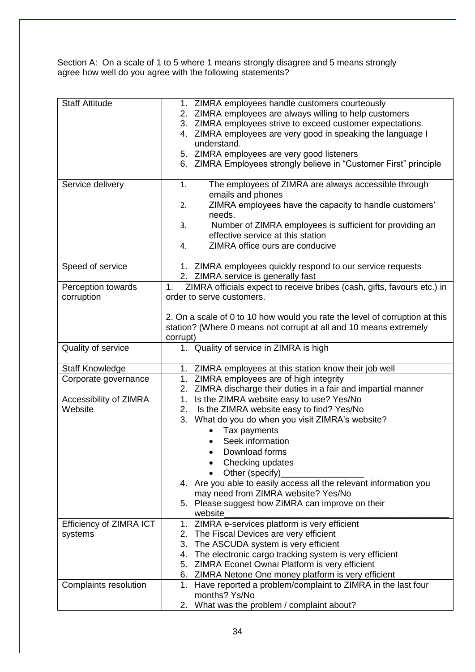Section A: On a scale of 1 to 5 where 1 means strongly disagree and 5 means strongly agree how well do you agree with the following statements?

| <b>Staff Attitude</b>   | 1. ZIMRA employees handle customers courteously                                           |
|-------------------------|-------------------------------------------------------------------------------------------|
|                         | 2. ZIMRA employees are always willing to help customers                                   |
|                         | 3. ZIMRA employees strive to exceed customer expectations.                                |
|                         | 4. ZIMRA employees are very good in speaking the language I                               |
|                         | understand.                                                                               |
|                         | 5. ZIMRA employees are very good listeners                                                |
|                         | 6. ZIMRA Employees strongly believe in "Customer First" principle                         |
|                         |                                                                                           |
| Service delivery        | The employees of ZIMRA are always accessible through<br>1.                                |
|                         | emails and phones                                                                         |
|                         | ZIMRA employees have the capacity to handle customers'<br>2.                              |
|                         | needs.                                                                                    |
|                         | Number of ZIMRA employees is sufficient for providing an<br>3.                            |
|                         | effective service at this station                                                         |
|                         | ZIMRA office ours are conducive<br>4.                                                     |
|                         |                                                                                           |
| Speed of service        | 1. ZIMRA employees quickly respond to our service requests                                |
|                         | 2. ZIMRA service is generally fast                                                        |
| Perception towards      | ZIMRA officials expect to receive bribes (cash, gifts, favours etc.) in<br>1 <sub>1</sub> |
| corruption              | order to serve customers.                                                                 |
|                         |                                                                                           |
|                         | 2. On a scale of 0 to 10 how would you rate the level of corruption at this               |
|                         | station? (Where 0 means not corrupt at all and 10 means extremely                         |
|                         |                                                                                           |
|                         | corrupt)                                                                                  |
| Quality of service      | 1. Quality of service in ZIMRA is high                                                    |
| <b>Staff Knowledge</b>  | 1. ZIMRA employees at this station know their job well                                    |
| Corporate governance    | 1. ZIMRA employees are of high integrity                                                  |
|                         | 2. ZIMRA discharge their duties in a fair and impartial manner                            |
| Accessibility of ZIMRA  | Is the ZIMRA website easy to use? Yes/No<br>1.                                            |
| Website                 | Is the ZIMRA website easy to find? Yes/No<br>2.                                           |
|                         |                                                                                           |
|                         | 3. What do you do when you visit ZIMRA's website?                                         |
|                         | Tax payments                                                                              |
|                         | Seek information                                                                          |
|                         | Download forms                                                                            |
|                         | Checking updates                                                                          |
|                         | Other (specify)                                                                           |
|                         | 4. Are you able to easily access all the relevant information you                         |
|                         | may need from ZIMRA website? Yes/No                                                       |
|                         | 5. Please suggest how ZIMRA can improve on their                                          |
|                         |                                                                                           |
|                         | website                                                                                   |
| Efficiency of ZIMRA ICT | 1. ZIMRA e-services platform is very efficient                                            |
| systems                 | 2. The Fiscal Devices are very efficient                                                  |
|                         | 3. The ASCUDA system is very efficient                                                    |
|                         | The electronic cargo tracking system is very efficient<br>4.                              |
|                         | 5. ZIMRA Econet Ownai Platform is very efficient                                          |
|                         | 6. ZIMRA Netone One money platform is very efficient                                      |
| Complaints resolution   | Have reported a problem/complaint to ZIMRA in the last four<br>1.                         |
|                         | months? Ys/No                                                                             |
|                         | 2. What was the problem / complaint about?                                                |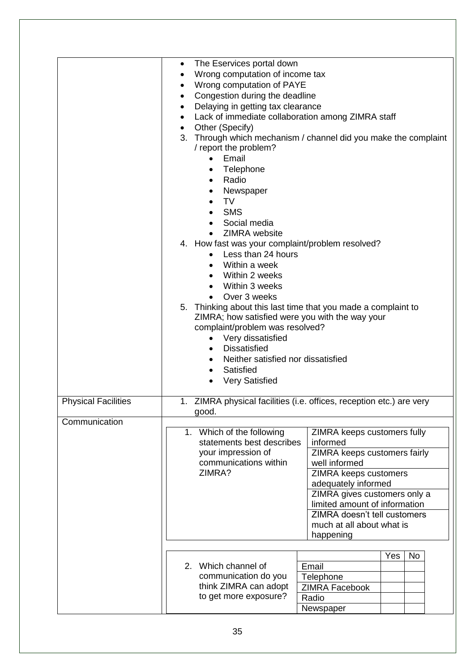|                            | The Eservices portal down<br>٠                                                                    |
|----------------------------|---------------------------------------------------------------------------------------------------|
|                            | Wrong computation of income tax                                                                   |
|                            | Wrong computation of PAYE                                                                         |
|                            | Congestion during the deadline                                                                    |
|                            | Delaying in getting tax clearance                                                                 |
|                            | Lack of immediate collaboration among ZIMRA staff                                                 |
|                            | Other (Specify)                                                                                   |
|                            | Through which mechanism / channel did you make the complaint<br>3.                                |
|                            | / report the problem?                                                                             |
|                            | Email<br>$\bullet$                                                                                |
|                            | Telephone<br>٠                                                                                    |
|                            | Radio<br>$\bullet$                                                                                |
|                            | Newspaper<br>٠                                                                                    |
|                            | TV                                                                                                |
|                            | <b>SMS</b>                                                                                        |
|                            |                                                                                                   |
|                            | Social media                                                                                      |
|                            | ZIMRA website                                                                                     |
|                            | 4. How fast was your complaint/problem resolved?                                                  |
|                            | Less than 24 hours                                                                                |
|                            | Within a week<br>٠                                                                                |
|                            | Within 2 weeks                                                                                    |
|                            | Within 3 weeks                                                                                    |
|                            | Over 3 weeks                                                                                      |
|                            | 5. Thinking about this last time that you made a complaint to                                     |
|                            | ZIMRA; how satisfied were you with the way your                                                   |
|                            | complaint/problem was resolved?                                                                   |
|                            | Very dissatisfied<br>$\bullet$                                                                    |
|                            | <b>Dissatisfied</b><br>٠                                                                          |
|                            | Neither satisfied nor dissatisfied<br>٠                                                           |
|                            | Satisfied<br>٠                                                                                    |
|                            | <b>Very Satisfied</b>                                                                             |
|                            |                                                                                                   |
| <b>Physical Facilities</b> | 1. ZIMRA physical facilities (i.e. offices, reception etc.) are very                              |
|                            | good.                                                                                             |
| Communication              |                                                                                                   |
|                            | 1. Which of the following<br>ZIMRA keeps customers fully<br>statements best describes<br>informed |
|                            | your impression of                                                                                |
|                            | ZIMRA keeps customers fairly<br>communications within<br>well informed                            |
|                            | ZIMRA?<br>ZIMRA keeps customers                                                                   |
|                            | adequately informed                                                                               |
|                            | ZIMRA gives customers only a                                                                      |
|                            | limited amount of information                                                                     |
|                            | ZIMRA doesn't tell customers                                                                      |
|                            | much at all about what is                                                                         |
|                            | happening                                                                                         |
|                            |                                                                                                   |
|                            | Yes<br>No                                                                                         |
|                            | 2. Which channel of<br>Email                                                                      |
|                            | communication do you<br>Telephone                                                                 |
|                            | think ZIMRA can adopt<br>ZIMRA Facebook                                                           |
|                            | to get more exposure?<br>Radio                                                                    |
|                            | Newspaper                                                                                         |
|                            |                                                                                                   |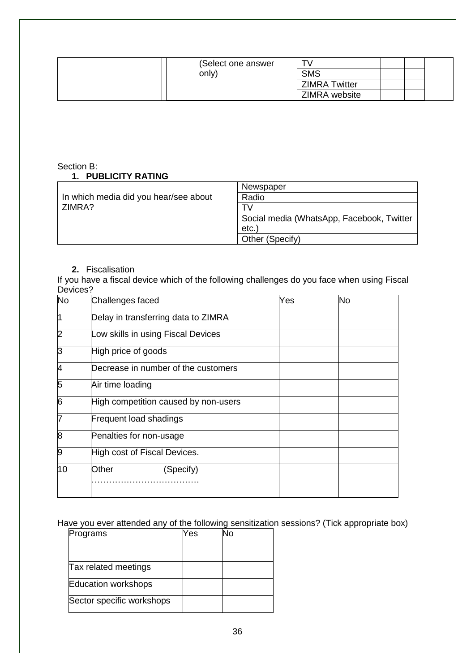| (Select one answer |                      |  |
|--------------------|----------------------|--|
| only)              | <b>SMS</b>           |  |
|                    | <b>ZIMRA Twitter</b> |  |
|                    | ZIMRA website        |  |

# Section B:

|  | 1. PUBLICITY RATING |  |
|--|---------------------|--|
|  |                     |  |

|                                       | Newspaper                                 |
|---------------------------------------|-------------------------------------------|
| In which media did you hear/see about | Radio                                     |
| ZIMRA?                                | τ۷                                        |
|                                       | Social media (WhatsApp, Facebook, Twitter |
|                                       | $etc.$ )                                  |
|                                       | Other (Specify)                           |

#### **2.** Fiscalisation

If you have a fiscal device which of the following challenges do you face when using Fiscal Devices?

| <b>No</b>      | Challenges faced                     | Yes | No |
|----------------|--------------------------------------|-----|----|
| 1              | Delay in transferring data to ZIMRA  |     |    |
| $\overline{c}$ | Low skills in using Fiscal Devices   |     |    |
| 3              | High price of goods                  |     |    |
| 14             | Decrease in number of the customers  |     |    |
| 5              | Air time loading                     |     |    |
| 6              | High competition caused by non-users |     |    |
| 7              | <b>Frequent load shadings</b>        |     |    |
| 8              | Penalties for non-usage              |     |    |
| 9              | High cost of Fiscal Devices.         |     |    |
| 10             | Other<br>(Specify)                   |     |    |

Have you ever attended any of the following sensitization sessions? (Tick appropriate box)

| Programs                  | Yes | No |
|---------------------------|-----|----|
|                           |     |    |
|                           |     |    |
| Tax related meetings      |     |    |
| Education workshops       |     |    |
| Sector specific workshops |     |    |